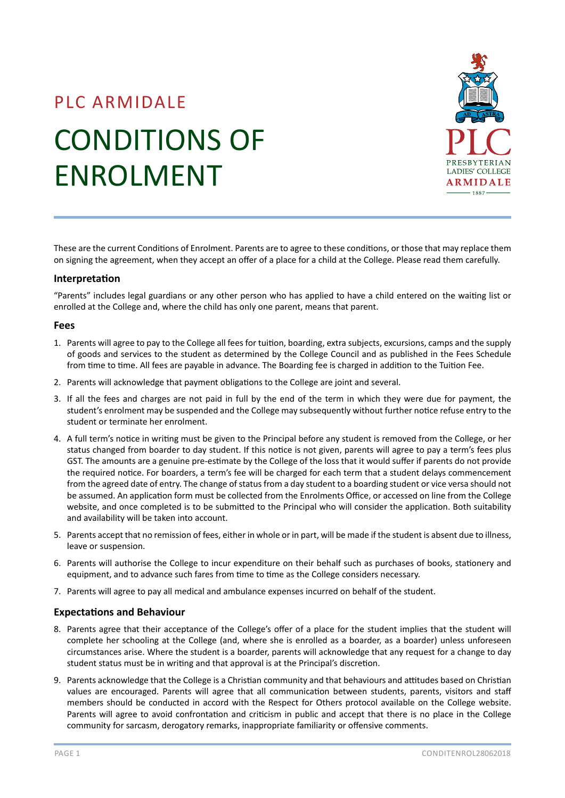# PLC ARMIDALE CONDITIONS OF ENROLMENT



These are the current Conditions of Enrolment. Parents are to agree to these conditions, or those that may replace them on signing the agreement, when they accept an offer of a place for a child at the College. Please read them carefully.

#### **Interpretation**

"Parents" includes legal guardians or any other person who has applied to have a child entered on the waiting list or enrolled at the College and, where the child has only one parent, means that parent.

#### **Fees**

- 1. Parents will agree to pay to the College all fees for tuition, boarding, extra subjects, excursions, camps and the supply of goods and services to the student as determined by the College Council and as published in the Fees Schedule from time to time. All fees are payable in advance. The Boarding fee is charged in addition to the Tuition Fee.
- 2. Parents will acknowledge that payment obligations to the College are joint and several.
- 3. If all the fees and charges are not paid in full by the end of the term in which they were due for payment, the student's enrolment may be suspended and the College may subsequently without further notice refuse entry to the student or terminate her enrolment.
- 4. A full term's notice in writing must be given to the Principal before any student is removed from the College, or her status changed from boarder to day student. If this notice is not given, parents will agree to pay a term's fees plus GST. The amounts are a genuine pre-estimate by the College of the loss that it would suffer if parents do not provide the required notice. For boarders, a term's fee will be charged for each term that a student delays commencement from the agreed date of entry. The change of status from a day student to a boarding student or vice versa should not be assumed. An application form must be collected from the Enrolments Office, or accessed on line from the College website, and once completed is to be submitted to the Principal who will consider the application. Both suitability and availability will be taken into account.
- 5. Parents accept that no remission of fees, either in whole or in part, will be made if the student is absent due to illness, leave or suspension.
- 6. Parents will authorise the College to incur expenditure on their behalf such as purchases of books, stationery and equipment, and to advance such fares from time to time as the College considers necessary.
- 7. Parents will agree to pay all medical and ambulance expenses incurred on behalf of the student.

## **Expectations and Behaviour**

- 8. Parents agree that their acceptance of the College's offer of a place for the student implies that the student will complete her schooling at the College (and, where she is enrolled as a boarder, as a boarder) unless unforeseen circumstances arise. Where the student is a boarder, parents will acknowledge that any request for a change to day student status must be in writing and that approval is at the Principal's discretion.
- 9. Parents acknowledge that the College is a Christian community and that behaviours and attitudes based on Christian values are encouraged. Parents will agree that all communication between students, parents, visitors and staff members should be conducted in accord with the Respect for Others protocol available on the College website. Parents will agree to avoid confrontation and criticism in public and accept that there is no place in the College community for sarcasm, derogatory remarks, inappropriate familiarity or offensive comments.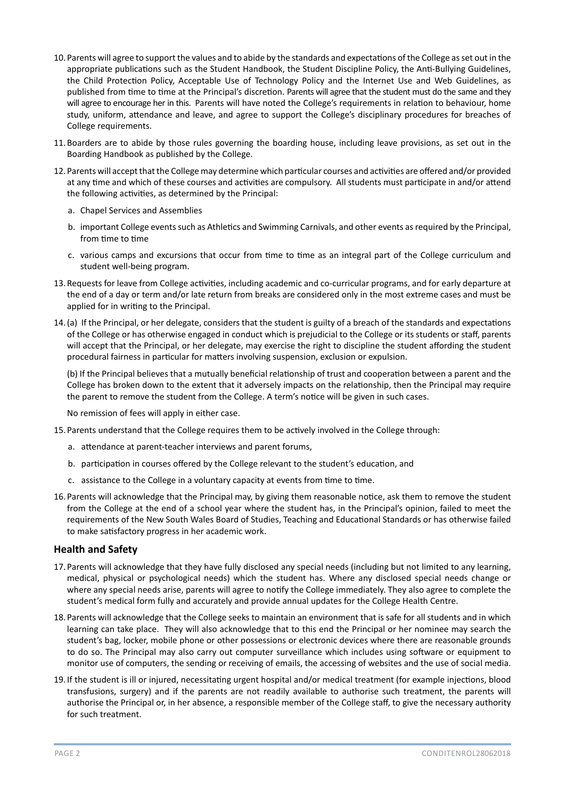- 10. Parents will agree to support the values and to abide by the standards and expectations of the College as set out in the appropriate publications such as the Student Handbook, the Student Discipline Policy, the Anti-Bullying Guidelines, the Child Protection Policy, Acceptable Use of Technology Policy and the Internet Use and Web Guidelines, as published from time to time at the Principal's discretion. Parents will agree that the student must do the same and they will agree to encourage her in this. Parents will have noted the College's requirements in relation to behaviour, home study, uniform, attendance and leave, and agree to support the College's disciplinary procedures for breaches of College requirements.
- 11.Boarders are to abide by those rules governing the boarding house, including leave provisions, as set out in the Boarding Handbook as published by the College.
- 12. Parents will accept that the College may determine which particular courses and activities are offered and/or provided at any time and which of these courses and activities are compulsory. All students must participate in and/or attend the following activities, as determined by the Principal:
	- a. Chapel Services and Assemblies
	- b. important College events such as Athletics and Swimming Carnivals, and other events as required by the Principal, from time to time
	- c. various camps and excursions that occur from time to time as an integral part of the College curriculum and student well-being program.
- 13.Requests for leave from College activities, including academic and co-curricular programs, and for early departure at the end of a day or term and/or late return from breaks are considered only in the most extreme cases and must be applied for in writing to the Principal.
- 14.(a) If the Principal, or her delegate, considers that the student is guilty of a breach of the standards and expectations of the College or has otherwise engaged in conduct which is prejudicial to the College or its students or staff, parents will accept that the Principal, or her delegate, may exercise the right to discipline the student affording the student procedural fairness in particular for matters involving suspension, exclusion or expulsion.

(b) If the Principal believes that a mutually beneficial relationship of trust and cooperation between a parent and the College has broken down to the extent that it adversely impacts on the relationship, then the Principal may require the parent to remove the student from the College. A term's notice will be given in such cases.

No remission of fees will apply in either case.

- 15. Parents understand that the College requires them to be actively involved in the College through:
	- a. attendance at parent-teacher interviews and parent forums,
	- b. participation in courses offered by the College relevant to the student's education, and
	- c. assistance to the College in a voluntary capacity at events from time to time.
- 16. Parents will acknowledge that the Principal may, by giving them reasonable notice, ask them to remove the student from the College at the end of a school year where the student has, in the Principal's opinion, failed to meet the requirements of the New South Wales Board of Studies, Teaching and Educational Standards or has otherwise failed to make satisfactory progress in her academic work.

## **Health and Safety**

- 17. Parents will acknowledge that they have fully disclosed any special needs (including but not limited to any learning, medical, physical or psychological needs) which the student has. Where any disclosed special needs change or where any special needs arise, parents will agree to notify the College immediately. They also agree to complete the student's medical form fully and accurately and provide annual updates for the College Health Centre.
- 18. Parents will acknowledge that the College seeks to maintain an environment that is safe for all students and in which learning can take place. They will also acknowledge that to this end the Principal or her nominee may search the student's bag, locker, mobile phone or other possessions or electronic devices where there are reasonable grounds to do so. The Principal may also carry out computer surveillance which includes using software or equipment to monitor use of computers, the sending or receiving of emails, the accessing of websites and the use of social media.
- 19. If the student is ill or injured, necessitating urgent hospital and/or medical treatment (for example injections, blood transfusions, surgery) and if the parents are not readily available to authorise such treatment, the parents will authorise the Principal or, in her absence, a responsible member of the College staff, to give the necessary authority for such treatment.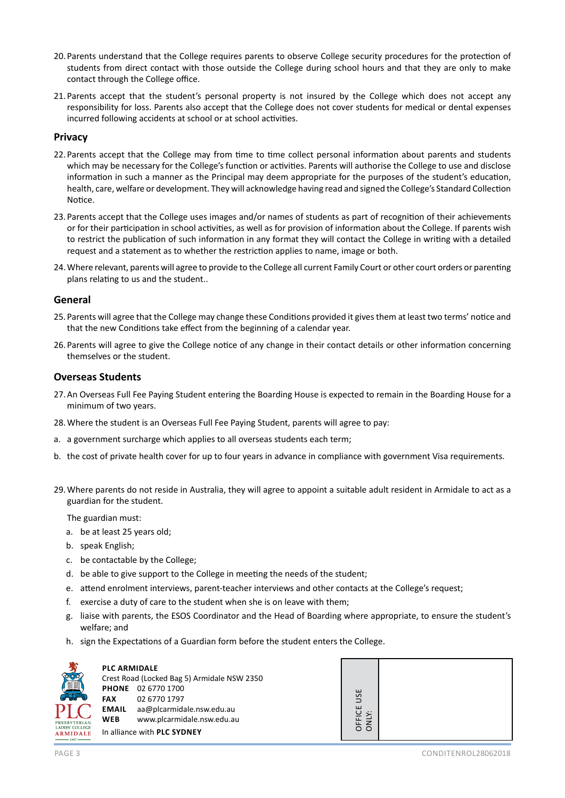- 20. Parents understand that the College requires parents to observe College security procedures for the protection of students from direct contact with those outside the College during school hours and that they are only to make contact through the College office.
- 21. Parents accept that the student's personal property is not insured by the College which does not accept any responsibility for loss. Parents also accept that the College does not cover students for medical or dental expenses incurred following accidents at school or at school activities.

## **Privacy**

- 22. Parents accept that the College may from time to time collect personal information about parents and students which may be necessary for the College's function or activities. Parents will authorise the College to use and disclose information in such a manner as the Principal may deem appropriate for the purposes of the student's education, health, care, welfare or development. They will acknowledge having read and signed the College's Standard Collection Notice.
- 23. Parents accept that the College uses images and/or names of students as part of recognition of their achievements or for their participation in school activities, as well as for provision of information about the College. If parents wish to restrict the publication of such information in any format they will contact the College in writing with a detailed request and a statement as to whether the restriction applies to name, image or both.
- 24.Where relevant, parents will agree to provide to the College all current Family Court or other court orders or parenting plans relating to us and the student..

## **General**

- 25. Parents will agree that the College may change these Conditions provided it gives them at least two terms' notice and that the new Conditions take effect from the beginning of a calendar year.
- 26. Parents will agree to give the College notice of any change in their contact details or other information concerning themselves or the student.

## **Overseas Students**

- 27.An Overseas Full Fee Paying Student entering the Boarding House is expected to remain in the Boarding House for a minimum of two years.
- 28.Where the student is an Overseas Full Fee Paying Student, parents will agree to pay:
- a. a government surcharge which applies to all overseas students each term;
- b. the cost of private health cover for up to four years in advance in compliance with government Visa requirements.
- 29.Where parents do not reside in Australia, they will agree to appoint a suitable adult resident in Armidale to act as a guardian for the student.

The guardian must:

- a. be at least 25 years old;
- b. speak English;
- c. be contactable by the College;
- d. be able to give support to the College in meeting the needs of the student;
- e. attend enrolment interviews, parent-teacher interviews and other contacts at the College's request;
- f. exercise a duty of care to the student when she is on leave with them;
- g. liaise with parents, the ESOS Coordinator and the Head of Boarding where appropriate, to ensure the student's welfare; and
- h. sign the Expectations of a Guardian form before the student enters the College.



**PLC ARMIDALE** Crest Road (Locked Bag 5) Armidale NSW 2350 **PHONE** 02 6770 1700 **FAX** 02 6770 1797 **EMAIL** aa@plcarmidale.nsw.edu.au **WEB** www.plcarmidale.nsw.edu.au In alliance with **PLC SYDNEY**